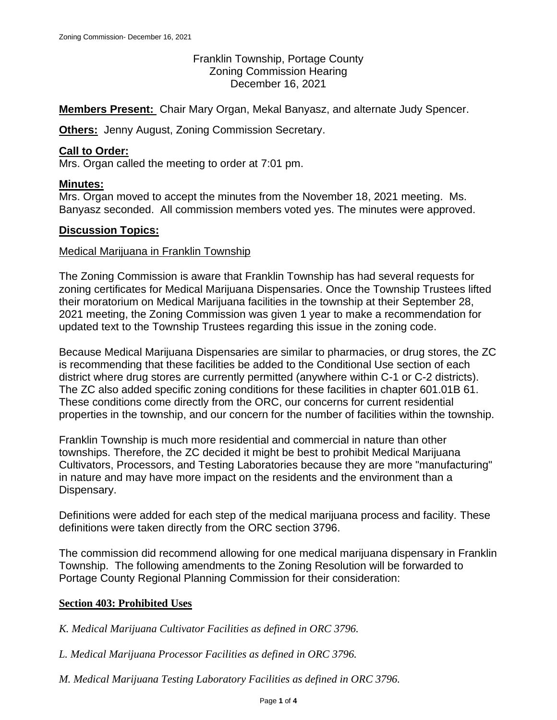Franklin Township, Portage County Zoning Commission Hearing December 16, 2021

**Members Present:** Chair Mary Organ, Mekal Banyasz, and alternate Judy Spencer.

**Others:** Jenny August, Zoning Commission Secretary.

### **Call to Order:**

Mrs. Organ called the meeting to order at 7:01 pm.

### **Minutes:**

Mrs. Organ moved to accept the minutes from the November 18, 2021 meeting. Ms. Banyasz seconded. All commission members voted yes. The minutes were approved.

### **Discussion Topics:**

#### Medical Marijuana in Franklin Township

The Zoning Commission is aware that Franklin Township has had several requests for zoning certificates for Medical Marijuana Dispensaries. Once the Township Trustees lifted their moratorium on Medical Marijuana facilities in the township at their September 28, 2021 meeting, the Zoning Commission was given 1 year to make a recommendation for updated text to the Township Trustees regarding this issue in the zoning code.

Because Medical Marijuana Dispensaries are similar to pharmacies, or drug stores, the ZC is recommending that these facilities be added to the Conditional Use section of each district where drug stores are currently permitted (anywhere within C-1 or C-2 districts). The ZC also added specific zoning conditions for these facilities in chapter 601.01B 61. These conditions come directly from the ORC, our concerns for current residential properties in the township, and our concern for the number of facilities within the township.

Franklin Township is much more residential and commercial in nature than other townships. Therefore, the ZC decided it might be best to prohibit Medical Marijuana Cultivators, Processors, and Testing Laboratories because they are more "manufacturing" in nature and may have more impact on the residents and the environment than a Dispensary.

Definitions were added for each step of the medical marijuana process and facility. These definitions were taken directly from the ORC section 3796.

The commission did recommend allowing for one medical marijuana dispensary in Franklin Township. The following amendments to the Zoning Resolution will be forwarded to Portage County Regional Planning Commission for their consideration:

### **Section 403: Prohibited Uses**

*K. Medical Marijuana Cultivator Facilities as defined in ORC 3796.*

*L. Medical Marijuana Processor Facilities as defined in ORC 3796.*

*M. Medical Marijuana Testing Laboratory Facilities as defined in ORC 3796.*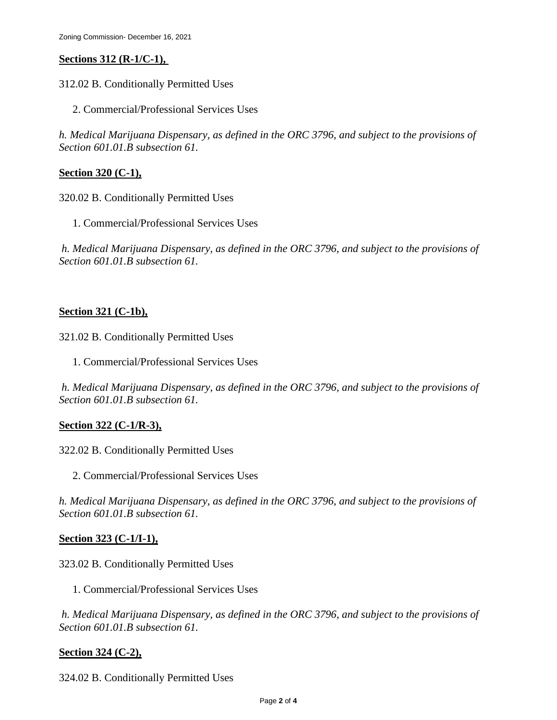# **Sections 312 (R-1/C-1),**

- 312.02 B. Conditionally Permitted Uses
	- 2. Commercial/Professional Services Uses

*h. Medical Marijuana Dispensary, as defined in the ORC 3796, and subject to the provisions of Section 601.01.B subsection 61.*

### **Section 320 (C-1),**

320.02 B. Conditionally Permitted Uses

1. Commercial/Professional Services Uses

*h. Medical Marijuana Dispensary, as defined in the ORC 3796, and subject to the provisions of Section 601.01.B subsection 61.*

### **Section 321 (C-1b),**

321.02 B. Conditionally Permitted Uses

1. Commercial/Professional Services Uses

*h. Medical Marijuana Dispensary, as defined in the ORC 3796, and subject to the provisions of Section 601.01.B subsection 61.*

## **Section 322 (C-1/R-3),**

322.02 B. Conditionally Permitted Uses

2. Commercial/Professional Services Uses

*h. Medical Marijuana Dispensary, as defined in the ORC 3796, and subject to the provisions of Section 601.01.B subsection 61.*

## **Section 323 (C-1/I-1),**

### 323.02 B. Conditionally Permitted Uses

1. Commercial/Professional Services Uses

*h. Medical Marijuana Dispensary, as defined in the ORC 3796, and subject to the provisions of Section 601.01.B subsection 61.*

## **Section 324 (C-2),**

324.02 B. Conditionally Permitted Uses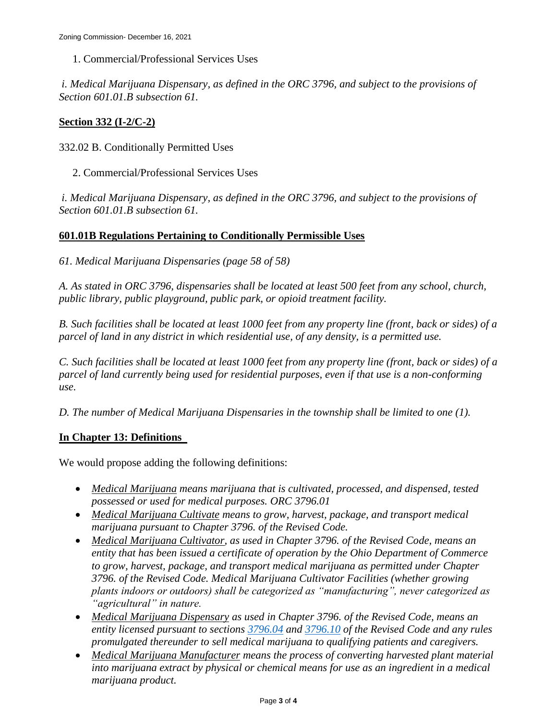1. Commercial/Professional Services Uses

*i. Medical Marijuana Dispensary, as defined in the ORC 3796, and subject to the provisions of Section 601.01.B subsection 61.*

### **Section 332 (I-2/C-2)**

332.02 B. Conditionally Permitted Uses

2. Commercial/Professional Services Uses

*i. Medical Marijuana Dispensary, as defined in the ORC 3796, and subject to the provisions of Section 601.01.B subsection 61.*

### **601.01B Regulations Pertaining to Conditionally Permissible Uses**

*61. Medical Marijuana Dispensaries (page 58 of 58)*

*A. As stated in ORC 3796, dispensaries shall be located at least 500 feet from any school, church, public library, public playground, public park, or opioid treatment facility.*

*B. Such facilities shall be located at least 1000 feet from any property line (front, back or sides) of a parcel of land in any district in which residential use, of any density, is a permitted use.*

*C. Such facilities shall be located at least 1000 feet from any property line (front, back or sides) of a parcel of land currently being used for residential purposes, even if that use is a non-conforming use.*

*D. The number of Medical Marijuana Dispensaries in the township shall be limited to one (1).*

## **In Chapter 13: Definitions**

We would propose adding the following definitions:

- *Medical Marijuana means marijuana that is cultivated, processed, and dispensed, tested possessed or used for medical purposes. ORC 3796.01*
- *Medical Marijuana Cultivate means to grow, harvest, package, and transport medical marijuana pursuant to Chapter 3796. of the Revised Code.*
- *Medical Marijuana Cultivator, as used in Chapter 3796. of the Revised Code, means an entity that has been issued a certificate of operation by the Ohio Department of Commerce to grow, harvest, package, and transport medical marijuana as permitted under Chapter 3796. of the Revised Code. Medical Marijuana Cultivator Facilities (whether growing plants indoors or outdoors) shall be categorized as "manufacturing", never categorized as "agricultural" in nature.*
- *Medical Marijuana Dispensary as used in Chapter 3796. of the Revised Code, means an entity licensed pursuant to sections [3796.04](https://codes.ohio.gov/ohio-revised-code/section-3796.04) and [3796.10](https://codes.ohio.gov/ohio-revised-code/section-3796.10) of the Revised Code and any rules promulgated thereunder to sell medical marijuana to qualifying patients and caregivers.*
- *Medical Marijuana Manufacturer means the process of converting harvested plant material into marijuana extract by physical or chemical means for use as an ingredient in a medical marijuana product.*